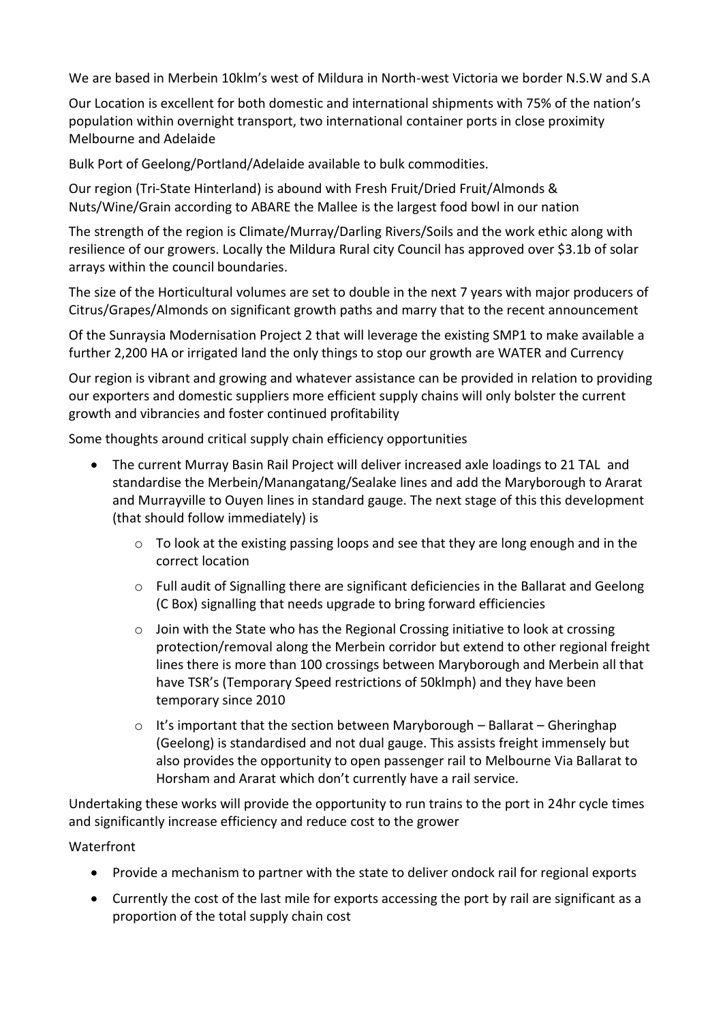We are based in Merbein 10klm's west of Mildura in North-west Victoria we border N.S.W and S.A

Our Location is excellent for both domestic and international shipments with 75% of the nation's population within overnight transport, two international container ports in close proximity Melbourne and Adelaide

Bulk Port of Geelong/Portland/Adelaide available to bulk commodities.

Our region (Tri-State Hinterland) is abound with Fresh Fruit/Dried Fruit/Almonds & Nuts/Wine/Grain according to ABARE the Mallee is the largest food bowl in our nation

The strength of the region is Climate/Murray/Darling Rivers/Soils and the work ethic along with resilience of our growers. Locally the Mildura Rural city Council has approved over \$3.1b of solar arrays within the council boundaries.

The size of the Horticultural volumes are set to double in the next 7 years with major producers of Citrus/Grapes/Almonds on significant growth paths and marry that to the recent announcement

Of the Sunraysia Modernisation Project 2 that will leverage the existing SMP1 to make available a further 2,200 HA or irrigated land the only things to stop our growth are WATER and Currency

Our region is vibrant and growing and whatever assistance can be provided in relation to providing our exporters and domestic suppliers more efficient supply chains will only bolster the current growth and vibrancies and foster continued profitability

Some thoughts around critical supply chain efficiency opportunities

- The current Murray Basin Rail Project will deliver increased axle loadings to 21 TAL and standardise the Merbein/Manangatang/Sealake lines and add the Maryborough to Ararat and Murrayville to Ouyen lines in standard gauge. The next stage of this this development (that should follow immediately) is
	- $\circ$  To look at the existing passing loops and see that they are long enough and in the correct location
	- o Full audit of Signalling there are significant deficiencies in the Ballarat and Geelong (C Box) signalling that needs upgrade to bring forward efficiencies
	- $\circ$  Join with the State who has the Regional Crossing initiative to look at crossing protection/removal along the Merbein corridor but extend to other regional freight lines there is more than 100 crossings between Maryborough and Merbein all that have TSR's (Temporary Speed restrictions of 50klmph) and they have been temporary since 2010
	- $\circ$  It's important that the section between Maryborough Ballarat Gheringhap (Geelong) is standardised and not dual gauge. This assists freight immensely but also provides the opportunity to open passenger rail to Melbourne Via Ballarat to Horsham and Ararat which don't currently have a rail service.

Undertaking these works will provide the opportunity to run trains to the port in 24hr cycle times and significantly increase efficiency and reduce cost to the grower

## Waterfront

- Provide a mechanism to partner with the state to deliver ondock rail for regional exports
- Currently the cost of the last mile for exports accessing the port by rail are significant as a proportion of the total supply chain cost